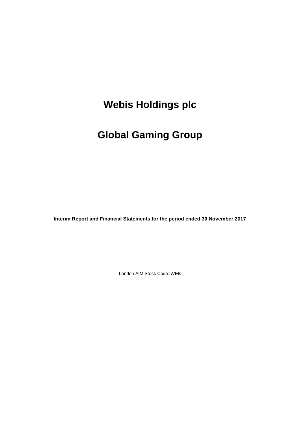# **Global Gaming Group**

**Interim Report and Financial Statements for the period ended 30 November 2017**

London AIM Stock Code: WEB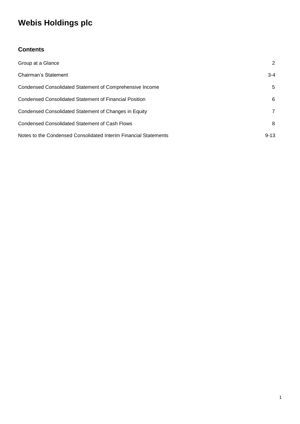### **Contents**

| Group at a Glance                                                | 2        |
|------------------------------------------------------------------|----------|
| Chairman's Statement                                             | $3 - 4$  |
| Condensed Consolidated Statement of Comprehensive Income         | 5        |
| Condensed Consolidated Statement of Financial Position           | 6        |
| Condensed Consolidated Statement of Changes in Equity            | 7        |
| Condensed Consolidated Statement of Cash Flows                   | 8        |
| Notes to the Condensed Consolidated Interim Financial Statements | $9 - 13$ |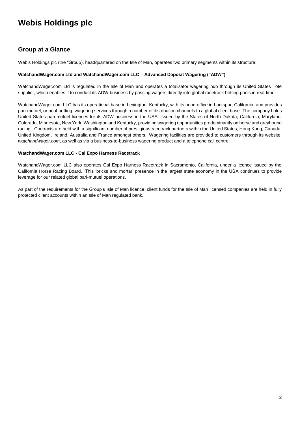### **Group at a Glance**

Webis Holdings plc (the "Group), headquartered on the Isle of Man, operates two primary segments within its structure:

#### **WatchandWager.com Ltd and WatchandWager.com LLC – Advanced Deposit Wagering ("ADW")**

WatchandWager.com Ltd is regulated in the Isle of Man and operates a totalisator wagering hub through its United States Tote supplier, which enables it to conduct its ADW business by passing wagers directly into global racetrack betting pools in real time.

WatchandWager.com LLC has its operational base in Lexington, Kentucky, with its head office in Larkspur, California, and provides pari-mutuel, or pool-betting, wagering services through a number of distribution channels to a global client base. The company holds United States pari-mutuel licences for its ADW business in the USA, issued by the States of North Dakota, California, Maryland, Colorado, Minnesota, New York, Washington and Kentucky, providing wagering opportunities predominantly on horse and greyhound racing. Contracts are held with a significant number of prestigious racetrack partners within the United States, Hong Kong, Canada, United Kingdom, Ireland, Australia and France amongst others. Wagering facilities are provided to customers through its website, *watchandwager.com*, as well as via a business-to-business wagering product and a telephone call centre.

#### **WatchandWager.com LLC - Cal Expo Harness Racetrack**

WatchandWager.com LLC also operates Cal Expo Harness Racetrack in Sacramento, California, under a licence issued by the California Horse Racing Board. This 'bricks and mortar' presence in the largest state economy in the USA continues to provide leverage for our related global pari-mutuel operations.

As part of the requirements for the Group's Isle of Man licence, client funds for the Isle of Man licensed companies are held in fully protected client accounts within an Isle of Man regulated bank.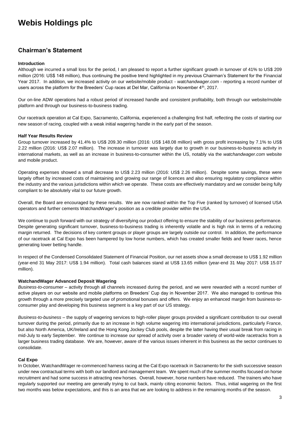### **Chairman's Statement**

#### **Introduction**

Although we incurred a small loss for the period, I am pleased to report a further significant growth in turnover of 41% to US\$ 209 million (2016: US\$ 148 million), thus continuing the positive trend highlighted in my previous Chairman's Statement for the Financial Year 2017. In addition, we increased activity on our website/mobile product - *watchandwager.com -* reporting a record number of users across the platform for the Breeders' Cup races at Del Mar, California on November 4th, 2017.

Our on-line ADW operations had a robust period of increased handle and consistent profitability, both through our website/mobile platform and through our business-to-business trading.

Our racetrack operation at Cal Expo, Sacramento, California, experienced a challenging first half, reflecting the costs of starting our new season of racing, coupled with a weak initial wagering handle in the early part of the season.

#### **Half Year Results Review**

Group turnover increased by 41.4% to US\$ 209.30 million (2016: US\$ 148.08 million) with gross profit increasing by 7.1% to US\$ 2.22 million (2016: US\$ 2.07 million). The increase in turnover was largely due to growth in our business-to-business activity in international markets, as well as an increase in business-to-consumer within the US, notably via the *watchandwager.com* website and mobile product.

Operating expenses showed a small decrease to US\$ 2.23 million (2016: US\$ 2.26 million). Despite some savings, these were largely offset by increased costs of maintaining and growing our range of licences and also ensuring regulatory compliance within the industry and the various jurisdictions within which we operate. These costs are effectively mandatory and we consider being fully compliant to be absolutely vital to our future growth.

Overall, the Board are encouraged by these results. We are now ranked within the Top Five (ranked by turnover) of licensed USA operators and further cements WatchandWager's position as a credible provider within the USA.

We continue to push forward with our strategy of diversifying our product offering to ensure the stability of our business performance. Despite generating significant turnover, business-to-business trading is inherently volatile and is high risk in terms of a reducing margin returned. The decisions of key content groups or player groups are largely outside our control. In addition, the performance of our racetrack at Cal Expo has been hampered by low horse numbers, which has created smaller fields and fewer races, hence generating lower betting handle.

In respect of the Condensed Consolidated Statement of Financial Position, our net assets show a small decrease to US\$ 1.92 million (year-end 31 May 2017: US\$ 1.94 million). Total cash balances stand at US\$ 13.65 million (year-end 31 May 2017: US\$ 15.07 million).

#### **WatchandWager Advanced Deposit Wagering**

*Business-to-consumer* – activity through all channels increased during the period, and we were rewarded with a record number of active players on our website and mobile platforms on Breeders' Cup day in November 2017. We also managed to continue this growth through a more precisely targeted use of promotional bonuses and offers. We enjoy an enhanced margin from business-toconsumer play and developing this business segment is a key part of our US strategy.

*Business-to-business* – the supply of wagering services to high-roller player groups provided a significant contribution to our overall turnover during the period, primarily due to an increase in high volume wagering into international jurisdictions, particularly France, but also North America, UK/Ireland and the Hong Kong Jockey Club pools, despite the latter having their usual break from racing in mid-July to early September. We continue to increase our spread of activity over a broader variety of world-wide racetracks from a larger business trading database. We are, however, aware of the various issues inherent in this business as the sector continues to consolidate.

#### **Cal Expo**

In October, WatchandWager re-commenced harness racing at the Cal Expo racetrack in Sacramento for the sixth successive season under new contractual terms with both our landlord and management team. We spent much of the summer months focused on horse recruitment and had some success in attracting new horses. Overall, however, horse numbers have reduced. The trainers who have regularly supported our meeting are generally trying to cut back, mainly citing economic factors. Thus, initial wagering on the first two months was below expectations, and this is an area that we are looking to address in the remaining months of the season.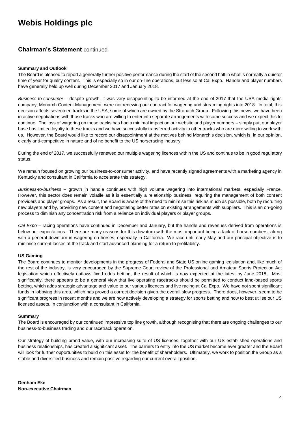### **Chairman's Statement** continued

#### **Summary and Outlook**

The Board is pleased to report a generally further positive performance during the start of the second half in what is normally a quieter time of year for quality content. This is especially so in our on-line operations, but less so at Cal Expo. Handle and player numbers have generally held up well during December 2017 and January 2018.

*Business-to-consumer* – despite growth, it was very disappointing to be informed at the end of 2017 that the USA media rights company, Monarch Content Management, were not renewing our contract for wagering and streaming rights into 2018. In total, this decision affects seventeen tracks in the USA, some of which are owned by the Stronach Group. Following this news, we have been in active negotiations with those tracks who are willing to enter into separate arrangements with some success and we expect this to continue. The loss of wagering on these tracks has had a minimal impact on our website and player numbers – simply put, our player base has limited loyalty to these tracks and we have successfully transferred activity to other tracks who are more willing to work with us. However, the Board would like to record our disappointment at the motives behind Monarch's decision, which is, in our opinion, clearly anti-competitive in nature and of no benefit to the US horseracing industry.

During the end of 2017, we successfully renewed our multiple wagering licences within the US and continue to be in good regulatory status.

We remain focused on growing our business-to-consumer activity, and have recently signed agreements with a marketing agency in Kentucky and consultant in California to accelerate this strategy.

*Business-to-business* – growth in handle continues with high volume wagering into international markets, especially France. However, this sector does remain volatile as it is essentially a relationship business, requiring the management of both content providers and player groups. As a result, the Board is aware of the need to minimise this risk as much as possible, both by recruiting new players and by, providing new content and negotiating better rates on existing arrangements with suppliers. This is an on-going process to diminish any concentration risk from a reliance on individual players or player groups.

*Cal Expo* – racing operations have continued in December and January, but the handle and revenues derived from operations is below our expectations. There are many reasons for this downturn with the most important being a lack of horse numbers, along with a general downturn in wagering on horses, especially in California. We race until early May and our principal objective is to minimise current losses at the track and start advanced planning for a return to profitability.

#### **US Gaming**

The Board continues to monitor developments in the progress of Federal and State US online gaming legislation and, like much of the rest of the industry, is very encouraged by the Supreme Court review of the Professional and Amateur Sports Protection Act legislation which effectively outlaws fixed odds betting, the result of which is now expected at the latest by June 2018. Most significantly, there appears to be a general view that live operating racetracks should be permitted to conduct land-based sports betting, which adds strategic advantage and value to our various licences and live racing at Cal Expo. We have not spent significant funds in lobbying this area, which has proved a correct decision given the overall slow progress. There does, however, seem to be significant progress in recent months and we are now actively developing a strategy for sports betting and how to best utilise our US licensed assets, in conjunction with a consultant in California.

#### **Summary**

The Board is encouraged by our continued impressive top line growth, although recognising that there are ongoing challenges to our business-to-business trading and our racetrack operation.

Our strategy of building brand value, with our increasing suite of US licences, together with our US established operations and business relationships, has created a significant asset. The barriers to entry into the US market become ever greater and the Board will look for further opportunities to build on this asset for the benefit of shareholders. Ultimately, we work to position the Group as a stable and diversified business and remain positive regarding our current overall position.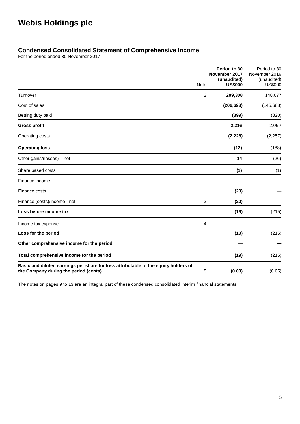### **Condensed Consolidated Statement of Comprehensive Income**

For the period ended 30 November 2017

|                                                                                                                              | Note | Period to 30<br>November 2017<br>(unaudited)<br><b>US\$000</b> | Period to 30<br>November 2016<br>(unaudited)<br><b>US\$000</b> |
|------------------------------------------------------------------------------------------------------------------------------|------|----------------------------------------------------------------|----------------------------------------------------------------|
| Turnover                                                                                                                     | 2    | 209,308                                                        | 148,077                                                        |
| Cost of sales                                                                                                                |      | (206, 693)                                                     | (145, 688)                                                     |
| Betting duty paid                                                                                                            |      | (399)                                                          | (320)                                                          |
| <b>Gross profit</b>                                                                                                          |      | 2,216                                                          | 2,069                                                          |
| Operating costs                                                                                                              |      | (2, 228)                                                       | (2, 257)                                                       |
| <b>Operating loss</b>                                                                                                        |      | (12)                                                           | (188)                                                          |
| Other gains/(losses) - net                                                                                                   |      | 14                                                             | (26)                                                           |
| Share based costs                                                                                                            |      | (1)                                                            | (1)                                                            |
| Finance income                                                                                                               |      |                                                                |                                                                |
| Finance costs                                                                                                                |      | (20)                                                           |                                                                |
| Finance (costs)/income - net                                                                                                 | 3    | (20)                                                           |                                                                |
| Loss before income tax                                                                                                       |      | (19)                                                           | (215)                                                          |
| Income tax expense                                                                                                           | 4    |                                                                |                                                                |
| Loss for the period                                                                                                          |      | (19)                                                           | (215)                                                          |
| Other comprehensive income for the period                                                                                    |      |                                                                |                                                                |
| Total comprehensive income for the period                                                                                    |      | (19)                                                           | (215)                                                          |
| Basic and diluted earnings per share for loss attributable to the equity holders of<br>the Company during the period (cents) | 5    | (0.00)                                                         | (0.05)                                                         |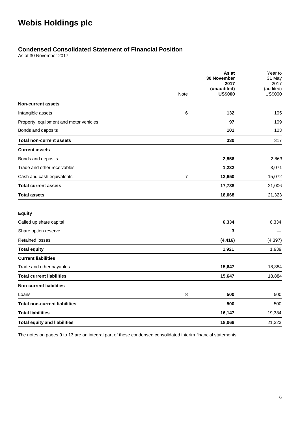### **Condensed Consolidated Statement of Financial Position**

As at 30 November 2017

|                                        |                | As at<br>30 November          | Year to<br>31 May           |
|----------------------------------------|----------------|-------------------------------|-----------------------------|
|                                        |                | 2017                          | 2017                        |
|                                        | Note           | (unaudited)<br><b>US\$000</b> | (audited)<br><b>US\$000</b> |
| <b>Non-current assets</b>              |                |                               |                             |
| Intangible assets                      | 6              | 132                           | 105                         |
| Property, equipment and motor vehicles |                | 97                            | 109                         |
| Bonds and deposits                     |                | 101                           | 103                         |
| <b>Total non-current assets</b>        |                | 330                           | 317                         |
| <b>Current assets</b>                  |                |                               |                             |
| Bonds and deposits                     |                | 2,856                         | 2,863                       |
| Trade and other receivables            |                | 1,232                         | 3,071                       |
| Cash and cash equivalents              | $\overline{7}$ | 13,650                        | 15,072                      |
| <b>Total current assets</b>            |                | 17,738                        | 21,006                      |
| <b>Total assets</b>                    |                | 18,068                        | 21,323                      |
| <b>Equity</b>                          |                |                               |                             |
| Called up share capital                |                | 6,334                         | 6,334                       |
| Share option reserve                   |                | 3                             |                             |
| <b>Retained losses</b>                 |                | (4, 416)                      | (4, 397)                    |
| <b>Total equity</b>                    |                | 1,921                         | 1,939                       |
| <b>Current liabilities</b>             |                |                               |                             |
| Trade and other payables               |                | 15,647                        | 18,884                      |
| <b>Total current liabilities</b>       |                | 15,647                        | 18,884                      |
| <b>Non-current liabilities</b>         |                |                               |                             |
| Loans                                  | 8              | 500                           | 500                         |
| <b>Total non-current liabilities</b>   |                | 500                           | 500                         |
| <b>Total liabilities</b>               |                | 16,147                        | 19,384                      |
| <b>Total equity and liabilities</b>    |                | 18,068                        | 21,323                      |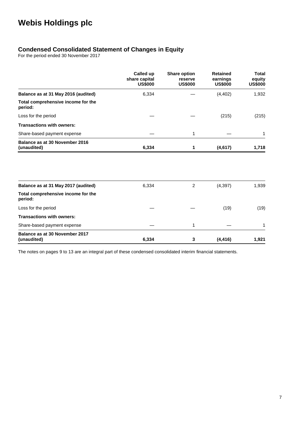### **Condensed Consolidated Statement of Changes in Equity**

For the period ended 30 November 2017

|                                               | Called up<br>share capital<br><b>US\$000</b> | <b>Share option</b><br>reserve<br><b>US\$000</b> | <b>Retained</b><br>earnings<br><b>US\$000</b> | <b>Total</b><br>equity<br><b>US\$000</b> |
|-----------------------------------------------|----------------------------------------------|--------------------------------------------------|-----------------------------------------------|------------------------------------------|
| Balance as at 31 May 2016 (audited)           | 6,334                                        |                                                  | (4, 402)                                      | 1,932                                    |
| Total comprehensive income for the<br>period: |                                              |                                                  |                                               |                                          |
| Loss for the period                           |                                              |                                                  | (215)                                         | (215)                                    |
| <b>Transactions with owners:</b>              |                                              |                                                  |                                               |                                          |
| Share-based payment expense                   |                                              | 1                                                |                                               | 1                                        |
| Balance as at 30 November 2016<br>(unaudited) | 6,334                                        | 1                                                | (4,617)                                       | 1,718                                    |
|                                               |                                              |                                                  |                                               |                                          |
| Balance as at 31 May 2017 (audited)           | 6,334                                        | 2                                                | (4, 397)                                      | 1,939                                    |
| Total comprehensive income for the<br>period: |                                              |                                                  |                                               |                                          |
| Loss for the period                           |                                              |                                                  | (19)                                          | (19)                                     |
| <b>Transactions with owners:</b>              |                                              |                                                  |                                               |                                          |
| Share-based payment expense                   |                                              | 1                                                |                                               | 1                                        |
| Balance as at 30 November 2017<br>(unaudited) | 6,334                                        | 3                                                | (4, 416)                                      | 1,921                                    |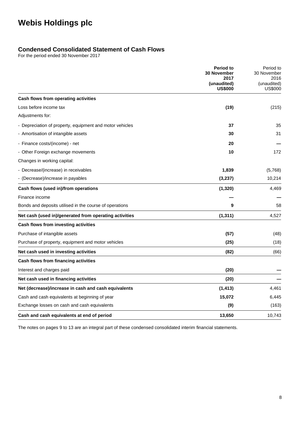### **Condensed Consolidated Statement of Cash Flows**

For the period ended 30 November 2017

|                                                          | <b>Period to</b><br><b>30 November</b><br>2017 | Period to<br>30 November<br>2016 |
|----------------------------------------------------------|------------------------------------------------|----------------------------------|
|                                                          | (unaudited)<br><b>US\$000</b>                  | (unaudited)<br><b>US\$000</b>    |
| Cash flows from operating activities                     |                                                |                                  |
| Loss before income tax                                   | (19)                                           | (215)                            |
| Adjustments for:                                         |                                                |                                  |
| - Depreciation of property, equipment and motor vehicles | 37                                             | 35                               |
| - Amortisation of intangible assets                      | 30                                             | 31                               |
| - Finance costs/(income) - net                           | 20                                             |                                  |
| - Other Foreign exchange movements                       | 10                                             | 172                              |
| Changes in working capital:                              |                                                |                                  |
| - Decrease/(increase) in receivables                     | 1,839                                          | (5,768)                          |
| - (Decrease)/increase in payables                        | (3,237)                                        | 10,214                           |
| Cash flows (used in)/from operations                     | (1, 320)                                       | 4,469                            |
| Finance income                                           |                                                |                                  |
| Bonds and deposits utilised in the course of operations  | 9                                              | 58                               |
| Net cash (used in)/generated from operating activities   | (1, 311)                                       | 4,527                            |
| Cash flows from investing activities                     |                                                |                                  |
| Purchase of intangible assets                            | (57)                                           | (48)                             |
| Purchase of property, equipment and motor vehicles       | (25)                                           | (18)                             |
| Net cash used in investing activities                    | (82)                                           | (66)                             |
| Cash flows from financing activities                     |                                                |                                  |
| Interest and charges paid                                | (20)                                           |                                  |
| Net cash used in financing activities                    | (20)                                           |                                  |
| Net (decrease)/increase in cash and cash equivalents     | (1, 413)                                       | 4,461                            |
| Cash and cash equivalents at beginning of year           | 15,072                                         | 6,445                            |
| Exchange losses on cash and cash equivalents             | (9)                                            | (163)                            |
| Cash and cash equivalents at end of period               | 13,650                                         | 10,743                           |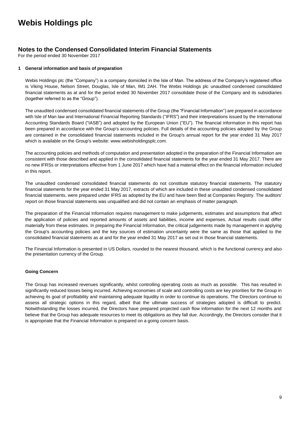### **Notes to the Condensed Consolidated Interim Financial Statements**

For the period ended 30 November 2017

#### **1 General information and basis of preparation**

Webis Holdings plc (the "Company") is a company domiciled in the Isle of Man. The address of the Company's registered office is Viking House, Nelson Street, Douglas, Isle of Man, IM1 2AH. The Webis Holdings plc unaudited condensed consolidated financial statements as at and for the period ended 30 November 2017 consolidate those of the Company and its subsidiaries (together referred to as the "Group").

The unaudited condensed consolidated financial statements of the Group (the "Financial Information") are prepared in accordance with Isle of Man law and International Financial Reporting Standards ("IFRS") and their interpretations issued by the International Accounting Standards Board ("IASB") and adopted by the European Union ("EU"). The financial information in this report has been prepared in accordance with the Group's accounting policies. Full details of the accounting policies adopted by the Group are contained in the consolidated financial statements included in the Group's annual report for the year ended 31 May 2017 which is available on the Group's website: www.webisholdingsplc.com.

The accounting policies and methods of computation and presentation adopted in the preparation of the Financial Information are consistent with those described and applied in the consolidated financial statements for the year ended 31 May 2017. There are no new IFRSs or interpretations effective from 1 June 2017 which have had a material effect on the financial information included in this report.

The unaudited condensed consolidated financial statements do not constitute statutory financial statements. The statutory financial statements for the year ended 31 May 2017, extracts of which are included in these unaudited condensed consolidated financial statements, were prepared under IFRS as adopted by the EU and have been filed at Companies Registry. The auditors' report on those financial statements was unqualified and did not contain an emphasis of matter paragraph.

The preparation of the Financial Information requires management to make judgements, estimates and assumptions that affect the application of policies and reported amounts of assets and liabilities, income and expenses. Actual results could differ materially from these estimates. In preparing the Financial Information, the critical judgements made by management in applying the Group's accounting policies and the key sources of estimation uncertainty were the same as those that applied to the consolidated financial statements as at and for the year ended 31 May 2017 as set out in those financial statements.

The Financial Information is presented in US Dollars, rounded to the nearest thousand, which is the functional currency and also the presentation currency of the Group.

#### **Going Concern**

The Group has increased revenues significantly, whilst controlling operating costs as much as possible. This has resulted in significantly reduced losses being incurred. Achieving economies of scale and controlling costs are key priorities for the Group in achieving its goal of profitability and maintaining adequate liquidity in order to continue its operations. The Directors continue to assess all strategic options in this regard, albeit that the ultimate success of strategies adopted is difficult to predict. Notwithstanding the losses incurred, the Directors have prepared projected cash flow information for the next 12 months and believe that the Group has adequate resources to meet its obligations as they fall due. Accordingly, the Directors consider that it is appropriate that the Financial Information is prepared on a going concern basis.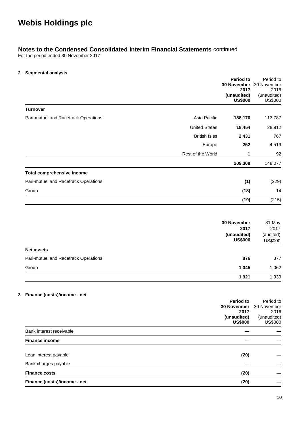### **Notes to the Condensed Consolidated Interim Financial Statements** continued

For the period ended 30 November 2017

#### **2 Segmental analysis**

|                                      |                      | <b>Period to</b><br>30 November<br>2017 | Period to<br>30 November<br>2016      |
|--------------------------------------|----------------------|-----------------------------------------|---------------------------------------|
|                                      |                      | (unaudited)<br><b>US\$000</b>           | (unaudited)<br><b>US\$000</b>         |
| <b>Turnover</b>                      |                      |                                         |                                       |
| Pari-mutuel and Racetrack Operations | Asia Pacific         | 188,170                                 | 113,787                               |
|                                      | <b>United States</b> | 18,454                                  | 28,912                                |
|                                      | <b>British Isles</b> | 2,431                                   | 767                                   |
|                                      | Europe               | 252                                     | 4,519                                 |
|                                      | Rest of the World    | 1                                       | 92                                    |
|                                      |                      | 209,308                                 | 148,077                               |
| Total comprehensive income           |                      |                                         |                                       |
| Pari-mutuel and Racetrack Operations |                      | (1)                                     | (229)                                 |
| Group                                |                      | (18)                                    | 14                                    |
|                                      |                      | (19)                                    | (215)                                 |
|                                      |                      |                                         |                                       |
|                                      |                      | 30 November                             | 31 May                                |
|                                      |                      | 2017<br>(unaudited)<br><b>US\$000</b>   | 2017<br>(audited)<br><b>US\$000</b>   |
| <b>Net assets</b>                    |                      |                                         |                                       |
| Pari-mutuel and Racetrack Operations |                      | 876                                     | 877                                   |
| Group                                |                      | 1,045                                   | 1,062                                 |
|                                      |                      | 1,921                                   | 1,939                                 |
| Finance (costs)/income - net         |                      |                                         |                                       |
|                                      |                      | Period to<br>30 November                | Period to<br>30 November              |
|                                      |                      | 2017<br>(unaudited)<br><b>US\$000</b>   | 2016<br>(unaudited)<br><b>US\$000</b> |
| Bank interest receivable             |                      |                                         |                                       |
| <b>Finance income</b>                |                      |                                         |                                       |
| Loan interest payable                |                      | (20)                                    |                                       |
| Bank charges payable                 |                      |                                         |                                       |
| <b>Finance costs</b>                 |                      | (20)                                    |                                       |
| Finance (costs)/income - net         |                      | (20)                                    |                                       |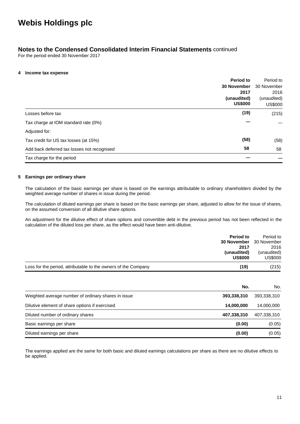### **Notes to the Condensed Consolidated Interim Financial Statements** continued

For the period ended 30 November 2017

#### **4 Income tax expense**

|                                             | <b>Period to</b>                                            | Period to                     |
|---------------------------------------------|-------------------------------------------------------------|-------------------------------|
|                                             | <b>30 November</b><br>2017<br>(unaudited)<br><b>US\$000</b> | 30 November<br>2016           |
|                                             |                                                             |                               |
|                                             |                                                             | (unaudited)<br><b>US\$000</b> |
| Losses before tax                           | (19)                                                        | (215)                         |
| Tax charge at IOM standard rate (0%)        |                                                             |                               |
| Adjusted for:                               |                                                             |                               |
| Tax credit for US tax losses (at 15%)       | (58)                                                        | (58)                          |
| Add back deferred tax losses not recognised | 58                                                          | 58                            |
| Tax charge for the period                   |                                                             |                               |

#### **5 Earnings per ordinary share**

The calculation of the basic earnings per share is based on the earnings attributable to ordinary shareholders divided by the weighted average number of shares in issue during the period.

The calculation of diluted earnings per share is based on the basic earnings per share, adjusted to allow for the issue of shares, on the assumed conversion of all dilutive share options.

An adjustment for the dilutive effect of share options and convertible debt in the previous period has not been reflected in the calculation of the diluted loss per share, as the effect would have been anti-dilutive.

| <b>Period to</b>                                                       | Period to<br><b>30 November</b> 30 November |
|------------------------------------------------------------------------|---------------------------------------------|
| 2017<br>(unaudited)<br><b>US\$000</b>                                  | 2016<br>(unaudited)<br><b>US\$000</b>       |
| Loss for the period, attributable to the owners of the Company<br>(19) | (215)                                       |

|                                                     | No.         | No.         |
|-----------------------------------------------------|-------------|-------------|
| Weighted average number of ordinary shares in issue | 393,338,310 | 393,338,310 |
| Dilutive element of share options if exercised      | 14,000,000  | 14,000,000  |
| Diluted number of ordinary shares                   | 407,338,310 | 407,338,310 |
| Basic earnings per share                            | (0.00)      | (0.05)      |
| Diluted earnings per share                          | (0.00)      | (0.05)      |

The earnings applied are the same for both basic and diluted earnings calculations per share as there are no dilutive effects to be applied.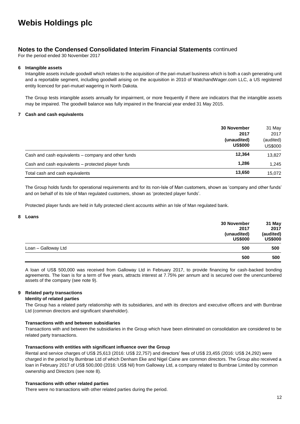### **Notes to the Condensed Consolidated Interim Financial Statements** continued

For the period ended 30 November 2017

#### **6 Intangible assets**

Intangible assets include goodwill which relates to the acquisition of the pari-mutuel business which is both a cash generating unit and a reportable segment, including goodwill arising on the acquisition in 2010 of WatchandWager.com LLC, a US registered entity licenced for pari-mutuel wagering in North Dakota.

The Group tests intangible assets annually for impairment, or more frequently if there are indicators that the intangible assets may be impaired. The goodwill balance was fully impaired in the financial year ended 31 May 2015.

#### **7 Cash and cash equivalents**

|                                                     | <b>30 November</b>            |                      |
|-----------------------------------------------------|-------------------------------|----------------------|
|                                                     | 2017                          | 2017                 |
|                                                     | (unaudited)<br><b>US\$000</b> | (audited)<br>US\$000 |
| Cash and cash equivalents – company and other funds | 12,364                        | 13,827               |
| Cash and cash equivalents – protected player funds  | 1,286                         | 1,245                |
| Total cash and cash equivalents                     | 13,650                        | 15,072               |

The Group holds funds for operational requirements and for its non-Isle of Man customers, shown as 'company and other funds' and on behalf of its Isle of Man regulated customers, shown as 'protected player funds'.

Protected player funds are held in fully protected client accounts within an Isle of Man regulated bank.

#### **8 Loans**

|                     | 30 November    | 31 May         |
|---------------------|----------------|----------------|
|                     | 2017           | 2017           |
|                     | (unaudited)    | (audited)      |
|                     | <b>US\$000</b> | <b>US\$000</b> |
| Loan - Galloway Ltd | 500            | 500            |
|                     | 500            | 500            |

A loan of US\$ 500,000 was received from Galloway Ltd in February 2017, to provide financing for cash-backed bonding agreements. The loan is for a term of five years, attracts interest at 7.75% per annum and is secured over the unencumbered assets of the company (see note 9).

#### **9 Related party transactions**

#### **Identity of related parties**

The Group has a related party relationship with its subsidiaries, and with its directors and executive officers and with Burnbrae Ltd (common directors and significant shareholder).

#### **Transactions with and between subsidiaries**

Transactions with and between the subsidiaries in the Group which have been eliminated on consolidation are considered to be related party transactions.

#### **Transactions with entities with significant influence over the Group**

Rental and service charges of US\$ 25,613 (2016: US\$ 22,757) and directors' fees of US\$ 23,455 (2016: US\$ 24,292) were charged in the period by Burnbrae Ltd of which Denham Eke and Nigel Caine are common directors. The Group also received a loan in February 2017 of US\$ 500,000 (2016: US\$ Nil) from Galloway Ltd, a company related to Burnbrae Limited by common ownership and Directors (see note 8).

#### **Transactions with other related parties**

There were no transactions with other related parties during the period.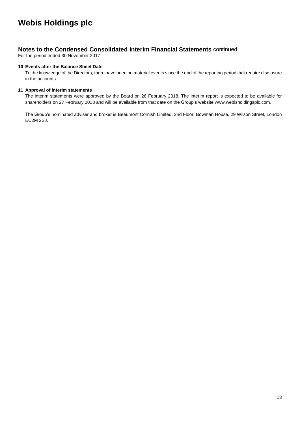### **Notes to the Condensed Consolidated Interim Financial Statements** continued

For the period ended 30 November 2017

#### **10 Events after the Balance Sheet Date**

To the knowledge of the Directors, there have been no material events since the end of the reporting period that require disclosure in the accounts.

#### **11 Approval of interim statements**

The interim statements were approved by the Board on 26 February 2018. The interim report is expected to be available for shareholders on 27 February 2018 and will be available from that date on the Group's website www.webisholdingsplc.com.

The Group's nominated adviser and broker is Beaumont Cornish Limited, 2nd Floor, Bowman House, 29 Wilson Street, London EC2M 2SJ.